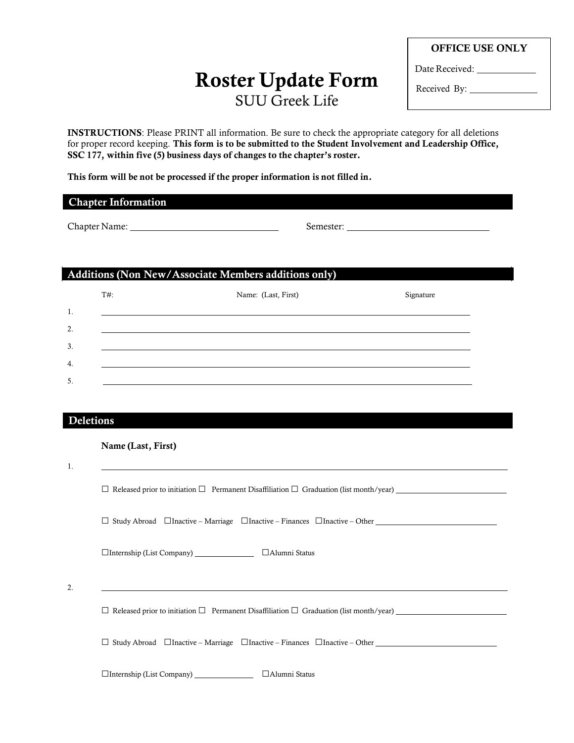# **Roster Update Form** SUU Greek Life

**OFFICE USE ONLY**

Date Received:

Received By: \_\_\_\_\_\_\_\_\_

**INSTRUCTIONS**: Please PRINT all information. Be sure to check the appropriate category for all deletions for proper record keeping. **This form is to be submitted to the Student Involvement and Leadership Office, SSC 177, within five (5) business days of changes to the chapter's roster.**

**This form will be not be processed if the proper information is not filled in.**

### **Chapter Information**

Chapter Name: Semester:

## **Additions (Non New/Associate Members additions only)**

□Internship (List Company) □Alumni Status

|    | $T#$ : | Name: (Last, First) | Signature |
|----|--------|---------------------|-----------|
| 1. |        |                     |           |
| 2. |        |                     |           |
| 3. |        |                     |           |
| 4. |        |                     |           |
| 5. |        |                     |           |

## **Deletions**

#### **Name (Last, First)**

| 1. |                                                                                                          |
|----|----------------------------------------------------------------------------------------------------------|
|    | $\Box$ Released prior to initiation $\Box$ Permanent Disaffiliation $\Box$ Graduation (list month/year)  |
|    | $\Box$ Study Abroad $\Box$ Inactive – Marriage $\Box$ Inactive – Finances $\Box$ Inactive – Other $\Box$ |
|    |                                                                                                          |
| 2. |                                                                                                          |
|    | $\Box$ Released prior to initiation $\Box$ Permanent Disaffiliation $\Box$ Graduation (list month/year)  |
|    | $\Box$ Study Abroad $\Box$ Inactive – Marriage $\Box$ Inactive – Finances $\Box$ Inactive – Other        |
|    |                                                                                                          |